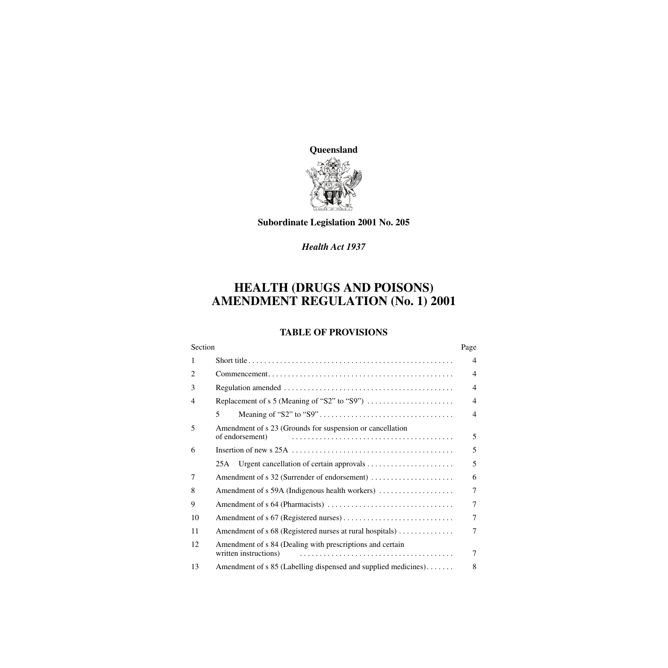

### **Subordinate Legislation 2001 No. 205**

### *Health Act 1937*

# **HEALTH (DRUGS AND POISONS) AMENDMENT REGULATION (No. 1) 2001**

### **TABLE OF PROVISIONS**

|                | Section                                                                            |                          |
|----------------|------------------------------------------------------------------------------------|--------------------------|
| 1              |                                                                                    | $\overline{4}$           |
| 2              |                                                                                    | $\overline{4}$           |
| 3              |                                                                                    | $\overline{\mathcal{A}}$ |
| $\overline{4}$ |                                                                                    | $\overline{4}$           |
|                | 5                                                                                  | $\overline{4}$           |
| 5              | Amendment of s 23 (Grounds for suspension or cancellation<br>of endorsement)       | 5                        |
| 6              |                                                                                    | 5                        |
|                |                                                                                    |                          |
|                | 25A                                                                                | 5                        |
| 7              |                                                                                    | 6                        |
| 8              | Amendment of s 59A (Indigenous health workers)                                     | 7                        |
| 9              |                                                                                    | $\tau$                   |
| 10             |                                                                                    | $\overline{7}$           |
| 11             | Amendment of s 68 (Registered nurses at rural hospitals)                           | 7                        |
| 12             | Amendment of s 84 (Dealing with prescriptions and certain<br>written instructions) | 7                        |
| 13             | Amendment of s 85 (Labelling dispensed and supplied medicines)                     | 8                        |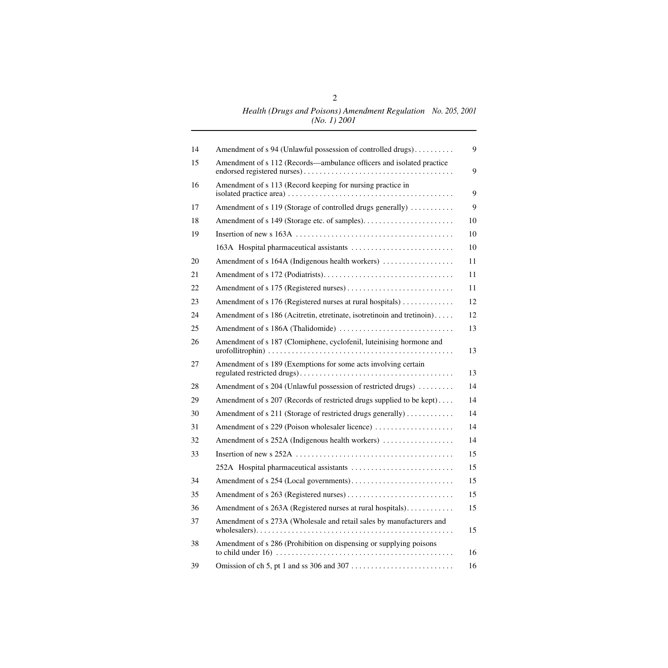| 14 | Amendment of s 94 (Unlawful possession of controlled drugs)            | 9  |
|----|------------------------------------------------------------------------|----|
| 15 | Amendment of s 112 (Records—ambulance officers and isolated practice   | 9  |
| 16 | Amendment of s 113 (Record keeping for nursing practice in             | 9  |
| 17 | Amendment of s 119 (Storage of controlled drugs generally)             | 9  |
| 18 |                                                                        | 10 |
| 19 |                                                                        | 10 |
|    |                                                                        | 10 |
| 20 | Amendment of s 164A (Indigenous health workers)                        | 11 |
| 21 |                                                                        | 11 |
| 22 |                                                                        | 11 |
| 23 | Amendment of s 176 (Registered nurses at rural hospitals)              | 12 |
| 24 | Amendment of s 186 (Acitretin, etretinate, isotretinoin and tretinoin) | 12 |
| 25 |                                                                        | 13 |
| 26 | Amendment of s 187 (Clomiphene, cyclofenil, luteinising hormone and    | 13 |
| 27 | Amendment of s 189 (Exemptions for some acts involving certain         | 13 |
| 28 | Amendment of s 204 (Unlawful possession of restricted drugs)           | 14 |
| 29 | Amendment of s 207 (Records of restricted drugs supplied to be kept)   | 14 |
| 30 | Amendment of s 211 (Storage of restricted drugs generally)             | 14 |
| 31 | Amendment of s 229 (Poison wholesaler licence)                         | 14 |
| 32 | Amendment of s 252A (Indigenous health workers)                        | 14 |
| 33 |                                                                        | 15 |
|    |                                                                        | 15 |
| 34 |                                                                        | 15 |
| 35 |                                                                        | 15 |
| 36 | Amendment of s 263A (Registered nurses at rural hospitals).            | 15 |
| 37 | Amendment of s 273A (Wholesale and retail sales by manufacturers and   | 15 |
| 38 | Amendment of s 286 (Prohibition on dispensing or supplying poisons     | 16 |
| 39 |                                                                        | 16 |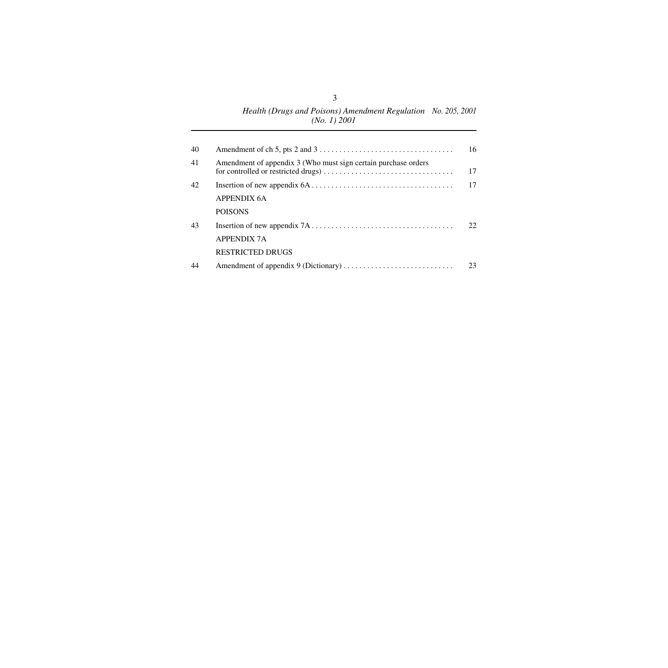#### *Health (Drugs and Poisons) Amendment Regulation (No. 1) 2001 No. 205, 2001*

| 40 |                                                                | 16  |
|----|----------------------------------------------------------------|-----|
| 41 | Amendment of appendix 3 (Who must sign certain purchase orders | 17  |
| 42 |                                                                | 17  |
|    | APPENDIX 6A                                                    |     |
|    | <b>POISONS</b>                                                 |     |
| 43 |                                                                | 22. |
|    | <b>APPENDIX 7A</b>                                             |     |
|    | <b>RESTRICTED DRUGS</b>                                        |     |
| 44 |                                                                | 23  |
|    |                                                                |     |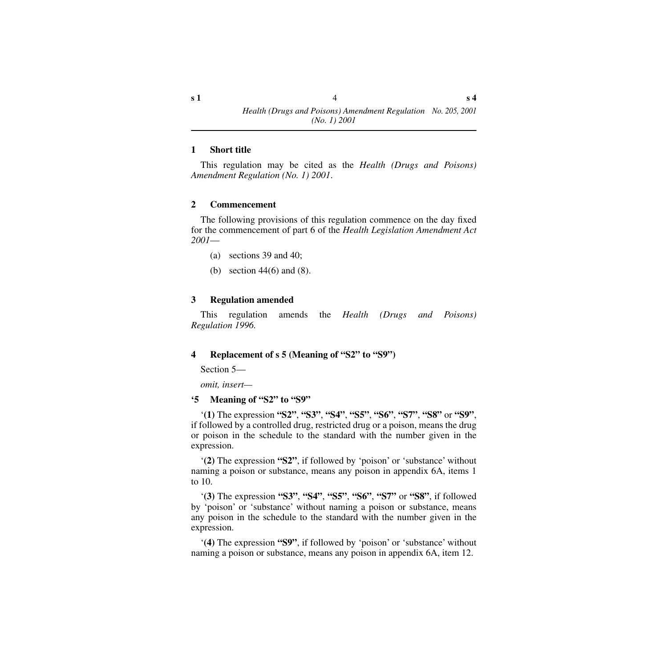#### <span id="page-3-0"></span>**1 Short title**

This regulation may be cited as the *Health (Drugs and Poisons) Amendment Regulation (No. 1) 2001*.

#### <span id="page-3-1"></span>**2 Commencement**

The following provisions of this regulation commence on the day fixed for the commencement of part 6 of the *Health Legislation Amendment Act 2001*—

- (a) sections 39 and 40;
- (b) section 44(6) and (8).

#### <span id="page-3-2"></span>**3 Regulation amended**

This regulation amends the *Health (Drugs and Poisons) Regulation 1996.*

#### <span id="page-3-3"></span>**4 Replacement of s 5 (Meaning of "S2" to "S9")**

Section 5—

*omit, insert—*

#### <span id="page-3-4"></span>**'5 Meaning of "S2" to "S9"**

'**(1)** The expression **"S2"**, **"S3"**, **"S4"**, **"S5"**, **"S6"**, **"S7"**, **"S8"** or **"S9"**, if followed by a controlled drug, restricted drug or a poison, means the drug or poison in the schedule to the standard with the number given in the expression.

'**(2)** The expression **"S2"**, if followed by 'poison' or 'substance' without naming a poison or substance, means any poison in appendix 6A, items 1 to 10.

'**(3)** The expression **"S3"**, **"S4"**, **"S5"**, **"S6"**, **"S7"** or **"S8"**, if followed by 'poison' or 'substance' without naming a poison or substance, means any poison in the schedule to the standard with the number given in the expression.

'**(4)** The expression **"S9"**, if followed by 'poison' or 'substance' without naming a poison or substance, means any poison in appendix 6A, item 12.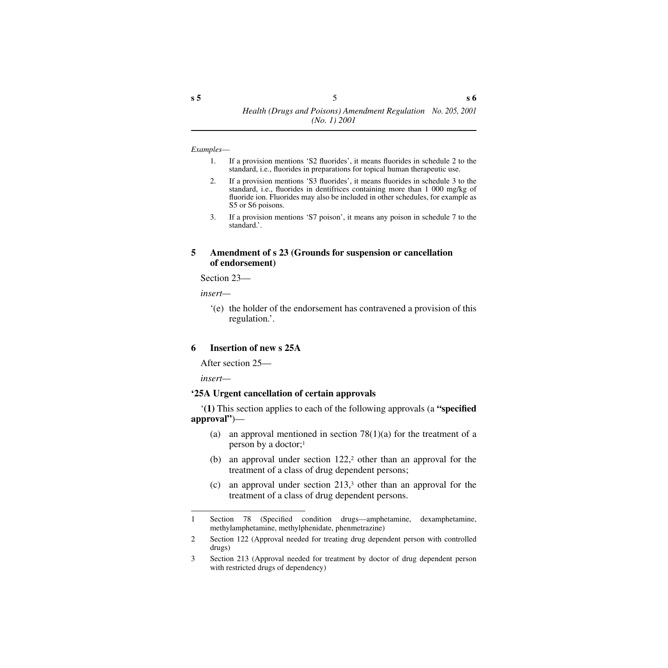#### *Examples*—

- 1. If a provision mentions 'S2 fluorides', it means fluorides in schedule 2 to the standard, i.e., fluorides in preparations for topical human therapeutic use.
- 2. If a provision mentions 'S3 fluorides', it means fluorides in schedule 3 to the standard, i.e., fluorides in dentifrices containing more than 1 000 mg/kg of fluoride ion. Fluorides may also be included in other schedules, for example as S5 or S6 poisons.
- 3. If a provision mentions 'S7 poison', it means any poison in schedule 7 to the standard.'.

#### <span id="page-4-0"></span>**5 Amendment of s 23 (Grounds for suspension or cancellation of endorsement)**

Section 23—

*insert—*

'(e) the holder of the endorsement has contravened a provision of this regulation.'.

#### <span id="page-4-1"></span>**6 Insertion of new s 25A**

After section 25—

*insert—*

#### <span id="page-4-2"></span>**'25A Urgent cancellation of certain approvals**

'**(1)** This section applies to each of the following approvals (a **"specified approval"**)—

- (a) an approval mentioned in section  $78(1)(a)$  for the treatment of a person by a doctor;1
- (b) an approval under section 122,<sup>2</sup> other than an approval for the treatment of a class of drug dependent persons;
- (c) an approval under section 213,3 other than an approval for the treatment of a class of drug dependent persons.

<sup>1</sup> Section 78 (Specified condition drugs—amphetamine, dexamphetamine, methylamphetamine, methylphenidate, phenmetrazine)

<sup>2</sup> Section 122 (Approval needed for treating drug dependent person with controlled drugs)

<sup>3</sup> Section 213 (Approval needed for treatment by doctor of drug dependent person with restricted drugs of dependency)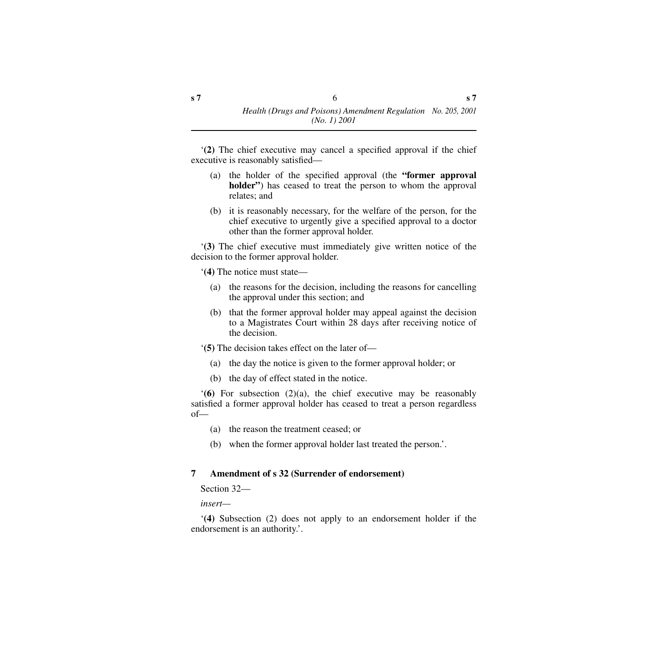'**(2)** The chief executive may cancel a specified approval if the chief executive is reasonably satisfied—

- (a) the holder of the specified approval (the **"former approval holder**") has ceased to treat the person to whom the approval relates; and
- (b) it is reasonably necessary, for the welfare of the person, for the chief executive to urgently give a specified approval to a doctor other than the former approval holder.

'**(3)** The chief executive must immediately give written notice of the decision to the former approval holder.

'**(4)** The notice must state—

- (a) the reasons for the decision, including the reasons for cancelling the approval under this section; and
- (b) that the former approval holder may appeal against the decision to a Magistrates Court within 28 days after receiving notice of the decision.

'**(5)** The decision takes effect on the later of—

- (a) the day the notice is given to the former approval holder; or
- (b) the day of effect stated in the notice.

'**(6)** For subsection (2)(a), the chief executive may be reasonably satisfied a former approval holder has ceased to treat a person regardless  $of$ —

- (a) the reason the treatment ceased; or
- (b) when the former approval holder last treated the person.'.

#### <span id="page-5-0"></span>**7 Amendment of s 32 (Surrender of endorsement)**

Section 32—

*insert—*

'**(4)** Subsection (2) does not apply to an endorsement holder if the endorsement is an authority.'.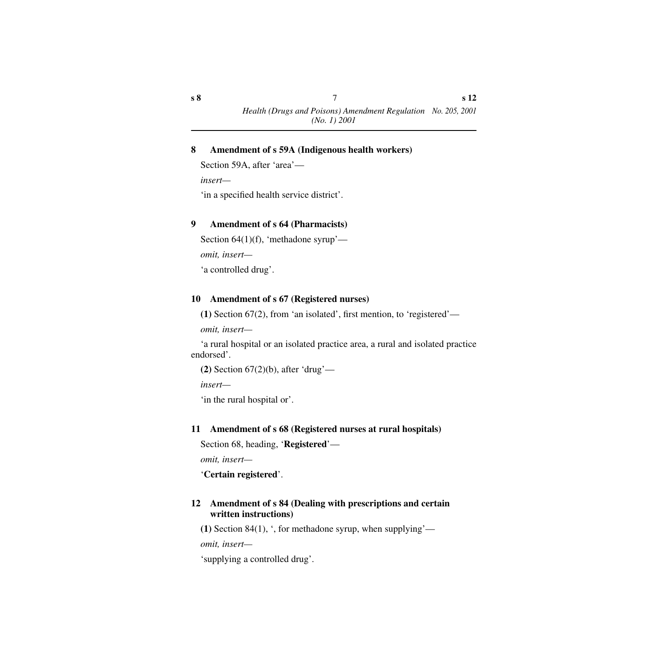#### <span id="page-6-0"></span>**8 Amendment of s 59A (Indigenous health workers)**

Section 59A, after 'area'—

*insert—*

'in a specified health service district'.

### <span id="page-6-1"></span>**9 Amendment of s 64 (Pharmacists)**

```
Section 64(1)(f), 'methadone syrup'—
```
*omit, insert—*

'a controlled drug'.

### <span id="page-6-2"></span>**10 Amendment of s 67 (Registered nurses)**

**(1)** Section 67(2), from 'an isolated', first mention, to 'registered'—

*omit, insert—*

'a rural hospital or an isolated practice area, a rural and isolated practice endorsed'.

**(2)** Section 67(2)(b), after 'drug'—

*insert—*

'in the rural hospital or'.

### <span id="page-6-3"></span>**11 Amendment of s 68 (Registered nurses at rural hospitals)**

Section 68, heading, '**Registered**'—

*omit, insert—*

'**Certain registered**'.

### <span id="page-6-4"></span>**12 Amendment of s 84 (Dealing with prescriptions and certain written instructions)**

**(1)** Section 84(1), ', for methadone syrup, when supplying'—

*omit, insert—*

'supplying a controlled drug'.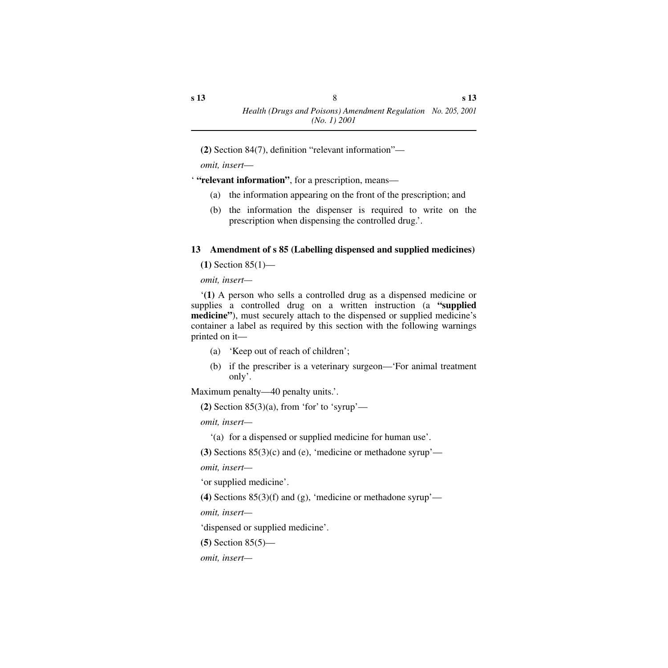**(2)** Section 84(7), definition "relevant information"—

*omit, insert*—

' **"relevant information"**, for a prescription, means—

- (a) the information appearing on the front of the prescription; and
- (b) the information the dispenser is required to write on the prescription when dispensing the controlled drug.'.

### <span id="page-7-0"></span>**13 Amendment of s 85 (Labelling dispensed and supplied medicines)**

**(1)** Section 85(1)—

*omit, insert—*

'**(1)** A person who sells a controlled drug as a dispensed medicine or supplies a controlled drug on a written instruction (a **"supplied medicine"**), must securely attach to the dispensed or supplied medicine's container a label as required by this section with the following warnings printed on it—

- (a) 'Keep out of reach of children';
- (b) if the prescriber is a veterinary surgeon—'For animal treatment only'.

Maximum penalty—40 penalty units.'.

```
(2) Section 85(3)(a), from 'for' to 'syrup'—
```
*omit, insert—*

'(a) for a dispensed or supplied medicine for human use'.

**(3)** Sections 85(3)(c) and (e), 'medicine or methadone syrup'—

*omit, insert—*

'or supplied medicine'.

**(4)** Sections  $85(3)(f)$  and (g), 'medicine or methadone syrup'—

*omit, insert—*

'dispensed or supplied medicine'.

```
(5) Section 85(5)—
```
*omit, insert—*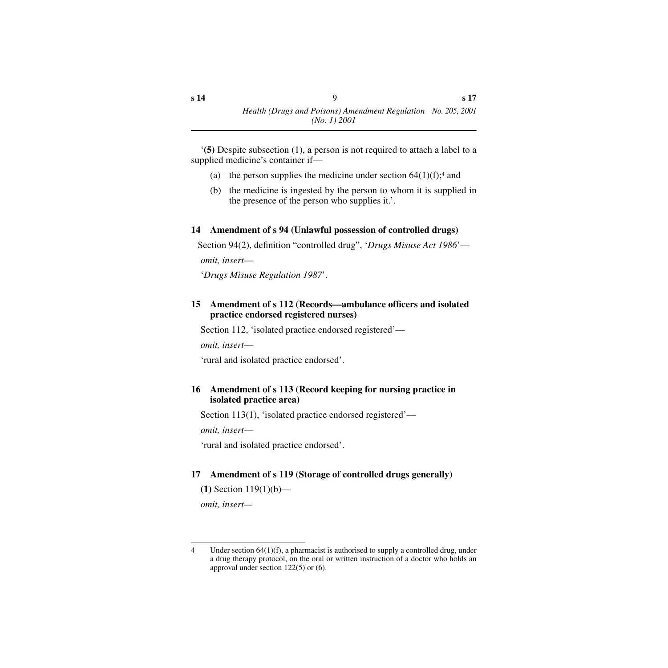'**(5)** Despite subsection (1), a person is not required to attach a label to a supplied medicine's container if—

- (a) the person supplies the medicine under section  $64(1)(f)$ ;<sup>4</sup> and
- (b) the medicine is ingested by the person to whom it is supplied in the presence of the person who supplies it.'.

### <span id="page-8-0"></span>**14 Amendment of s 94 (Unlawful possession of controlled drugs)**

Section 94(2), definition "controlled drug", '*Drugs Misuse Act 1986*'—

*omit, insert*—

'*Drugs Misuse Regulation 1987*'.

### <span id="page-8-1"></span>**15 Amendment of s 112 (Records—ambulance officers and isolated practice endorsed registered nurses)**

Section 112, 'isolated practice endorsed registered'—

*omit, insert*—

'rural and isolated practice endorsed'.

### <span id="page-8-2"></span>**16 Amendment of s 113 (Record keeping for nursing practice in isolated practice area)**

Section 113(1), 'isolated practice endorsed registered'—

*omit, insert*—

'rural and isolated practice endorsed'.

## <span id="page-8-3"></span>**17 Amendment of s 119 (Storage of controlled drugs generally)**

**(1)** Section 119(1)(b)—

*omit, insert—*

<sup>4</sup> Under section 64(1)(f), a pharmacist is authorised to supply a controlled drug, under a drug therapy protocol, on the oral or written instruction of a doctor who holds an approval under section 122(5) or (6).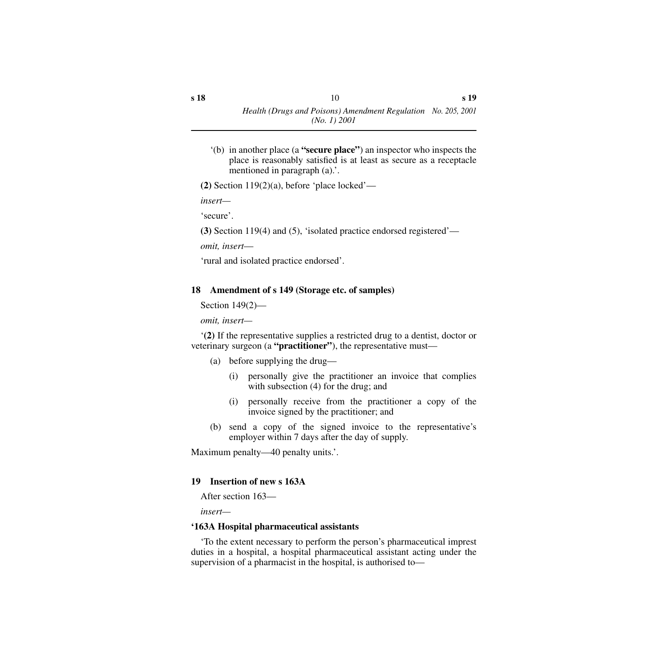'(b) in another place (a **"secure place"**) an inspector who inspects the place is reasonably satisfied is at least as secure as a receptacle mentioned in paragraph (a).'.

**(2)** Section 119(2)(a), before 'place locked'—

*insert—*

'secure'.

**(3)** Section 119(4) and (5), 'isolated practice endorsed registered'—

*omit, insert*—

'rural and isolated practice endorsed'.

### <span id="page-9-0"></span>**18 Amendment of s 149 (Storage etc. of samples)**

Section 149(2)—

*omit, insert—*

'**(2)** If the representative supplies a restricted drug to a dentist, doctor or veterinary surgeon (a **"practitioner"**), the representative must—

(a) before supplying the drug—

- (i) personally give the practitioner an invoice that complies with subsection (4) for the drug; and
- (i) personally receive from the practitioner a copy of the invoice signed by the practitioner; and
- (b) send a copy of the signed invoice to the representative's employer within 7 days after the day of supply.

Maximum penalty—40 penalty units.'.

### <span id="page-9-1"></span>**19 Insertion of new s 163A**

After section 163—

*insert—*

### <span id="page-9-2"></span>**'163A Hospital pharmaceutical assistants**

'To the extent necessary to perform the person's pharmaceutical imprest duties in a hospital, a hospital pharmaceutical assistant acting under the supervision of a pharmacist in the hospital, is authorised to—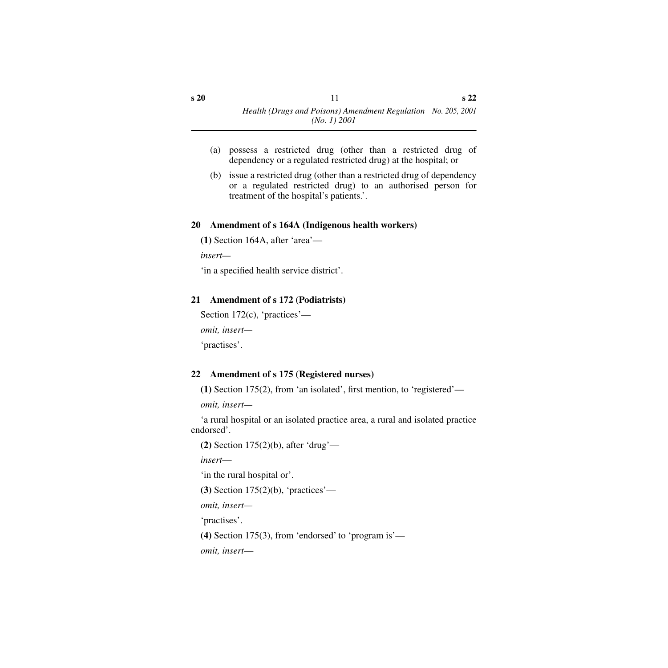- (a) possess a restricted drug (other than a restricted drug of dependency or a regulated restricted drug) at the hospital; or
- (b) issue a restricted drug (other than a restricted drug of dependency or a regulated restricted drug) to an authorised person for treatment of the hospital's patients.'.

### <span id="page-10-0"></span>**20 Amendment of s 164A (Indigenous health workers)**

**(1)** Section 164A, after 'area'—

*insert—*

'in a specified health service district'.

### <span id="page-10-1"></span>**21 Amendment of s 172 (Podiatrists)**

```
Section 172(c), 'practices'—
omit, insert—
'practises'.
```
### <span id="page-10-2"></span>**22 Amendment of s 175 (Registered nurses)**

**(1)** Section 175(2), from 'an isolated', first mention, to 'registered'—

*omit, insert—*

'a rural hospital or an isolated practice area, a rural and isolated practice endorsed'.

**(2)** Section 175(2)(b), after 'drug'—

*insert*—

'in the rural hospital or'.

**(3)** Section 175(2)(b), 'practices'—

*omit, insert—*

'practises'.

**(4)** Section 175(3), from 'endorsed' to 'program is'—

*omit, insert*—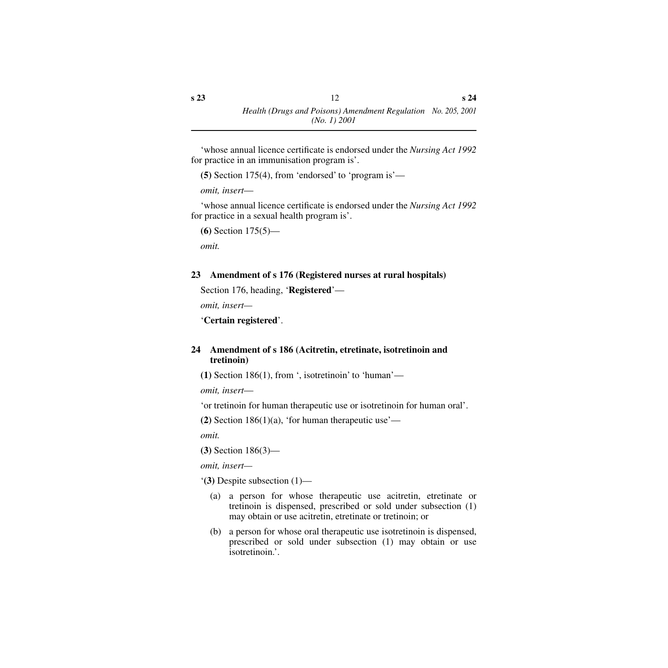'whose annual licence certificate is endorsed under the *Nursing Act 1992* for practice in an immunisation program is'.

**(5)** Section 175(4), from 'endorsed' to 'program is'—

*omit, insert*—

'whose annual licence certificate is endorsed under the *Nursing Act 1992* for practice in a sexual health program is'.

**(6)** Section 175(5)—

*omit.*

#### <span id="page-11-0"></span>**23 Amendment of s 176 (Registered nurses at rural hospitals)**

Section 176, heading, '**Registered**'—

*omit, insert—*

'**Certain registered**'.

### <span id="page-11-1"></span>**24 Amendment of s 186 (Acitretin, etretinate, isotretinoin and tretinoin)**

**(1)** Section 186(1), from ', isotretinoin' to 'human'—

*omit, insert*—

'or tretinoin for human therapeutic use or isotretinoin for human oral'.

**(2)** Section 186(1)(a), 'for human therapeutic use'—

*omit.*

**(3)** Section 186(3)—

*omit, insert—*

'**(3)** Despite subsection (1)—

- (a) a person for whose therapeutic use acitretin, etretinate or tretinoin is dispensed, prescribed or sold under subsection (1) may obtain or use acitretin, etretinate or tretinoin; or
- (b) a person for whose oral therapeutic use isotretinoin is dispensed, prescribed or sold under subsection (1) may obtain or use isotretinoin.'.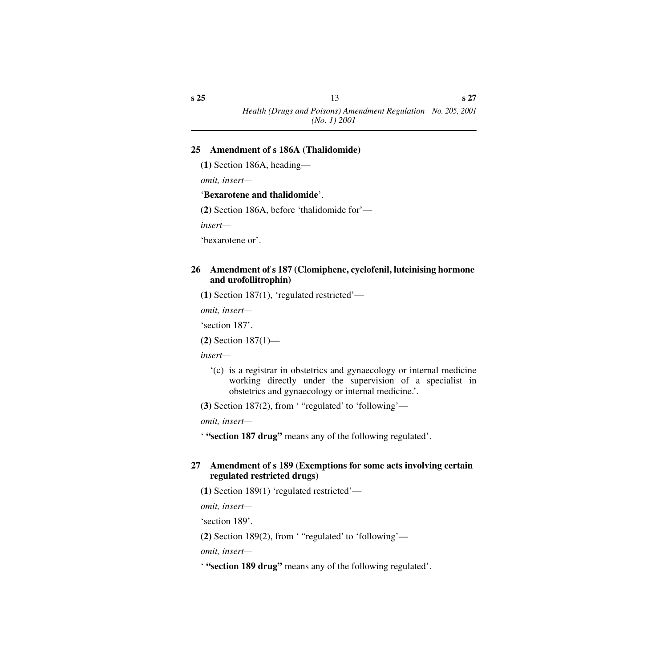#### <span id="page-12-0"></span>**25 Amendment of s 186A (Thalidomide)**

**(1)** Section 186A, heading—

*omit, insert—*

#### '**Bexarotene and thalidomide**'.

**(2)** Section 186A, before 'thalidomide for'—

*insert—*

'bexarotene or'.

#### <span id="page-12-1"></span>**26 Amendment of s 187 (Clomiphene, cyclofenil, luteinising hormone and urofollitrophin)**

**(1)** Section 187(1), 'regulated restricted'—

*omit, insert—*

'section 187'.

**(2)** Section 187(1)—

*insert—*

'(c) is a registrar in obstetrics and gynaecology or internal medicine working directly under the supervision of a specialist in obstetrics and gynaecology or internal medicine.'.

**(3)** Section 187(2), from ' "regulated' to 'following'—

*omit, insert—*

' **"section 187 drug"** means any of the following regulated'.

#### <span id="page-12-2"></span>**27 Amendment of s 189 (Exemptions for some acts involving certain regulated restricted drugs)**

**(1)** Section 189(1) 'regulated restricted'—

*omit, insert—*

'section 189'.

**(2)** Section 189(2), from ' "regulated' to 'following'—

*omit, insert—*

' **"section 189 drug"** means any of the following regulated'.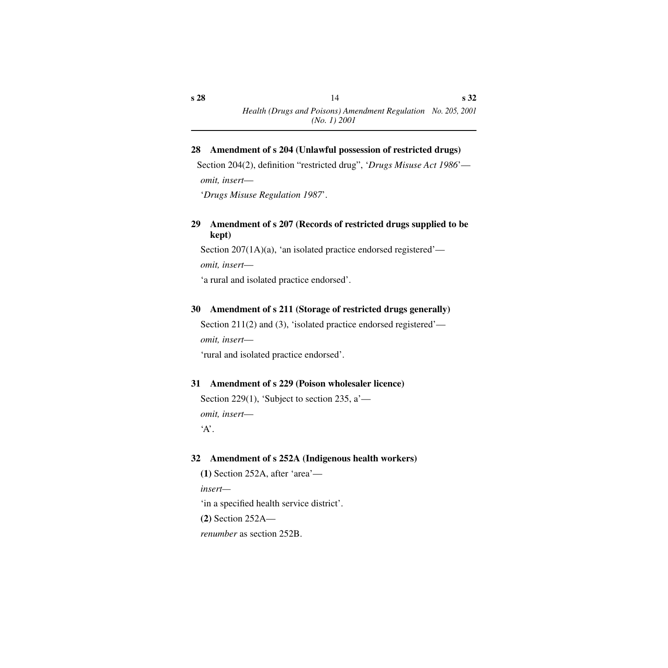*Health (Drugs and Poisons) Amendment Regulation No. 205, 2001 (No. 1) 2001*

#### <span id="page-13-0"></span>**28 Amendment of s 204 (Unlawful possession of restricted drugs)**

Section 204(2), definition "restricted drug", '*Drugs Misuse Act 1986*' *omit, insert*—

'*Drugs Misuse Regulation 1987*'.

#### <span id="page-13-1"></span>**29 Amendment of s 207 (Records of restricted drugs supplied to be kept)**

Section 207(1A)(a), 'an isolated practice endorsed registered'—

*omit, insert*—

'a rural and isolated practice endorsed'.

#### <span id="page-13-2"></span>**30 Amendment of s 211 (Storage of restricted drugs generally)**

Section 211(2) and (3), 'isolated practice endorsed registered' *omit, insert*—

'rural and isolated practice endorsed'.

#### <span id="page-13-3"></span>**31 Amendment of s 229 (Poison wholesaler licence)**

Section 229(1), 'Subject to section 235,  $a'$  *omit, insert*— 'A'.

#### <span id="page-13-4"></span>**32 Amendment of s 252A (Indigenous health workers)**

**(1)** Section 252A, after 'area'—

*insert—*

'in a specified health service district'.

**(2)** Section 252A—

*renumber* as section 252B.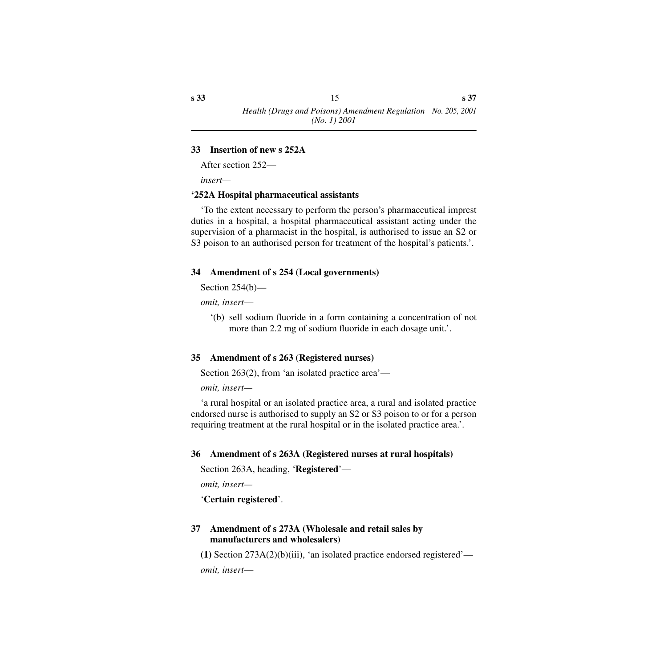#### <span id="page-14-0"></span>**33 Insertion of new s 252A**

After section 252—

*insert—*

#### <span id="page-14-1"></span>**'252A Hospital pharmaceutical assistants**

'To the extent necessary to perform the person's pharmaceutical imprest duties in a hospital, a hospital pharmaceutical assistant acting under the supervision of a pharmacist in the hospital, is authorised to issue an S2 or S3 poison to an authorised person for treatment of the hospital's patients.'.

### <span id="page-14-2"></span>**34 Amendment of s 254 (Local governments)**

Section 254(b)—

*omit, insert*—

'(b) sell sodium fluoride in a form containing a concentration of not more than 2.2 mg of sodium fluoride in each dosage unit.'.

### <span id="page-14-3"></span>**35 Amendment of s 263 (Registered nurses)**

Section 263(2), from 'an isolated practice area'—

*omit, insert—*

'a rural hospital or an isolated practice area, a rural and isolated practice endorsed nurse is authorised to supply an S2 or S3 poison to or for a person requiring treatment at the rural hospital or in the isolated practice area.'.

### <span id="page-14-4"></span>**36 Amendment of s 263A (Registered nurses at rural hospitals)**

Section 263A, heading, '**Registered**'—

*omit, insert—*

'**Certain registered**'.

### <span id="page-14-5"></span>**37 Amendment of s 273A (Wholesale and retail sales by manufacturers and wholesalers)**

**(1)** Section 273A(2)(b)(iii), 'an isolated practice endorsed registered' *omit, insert*—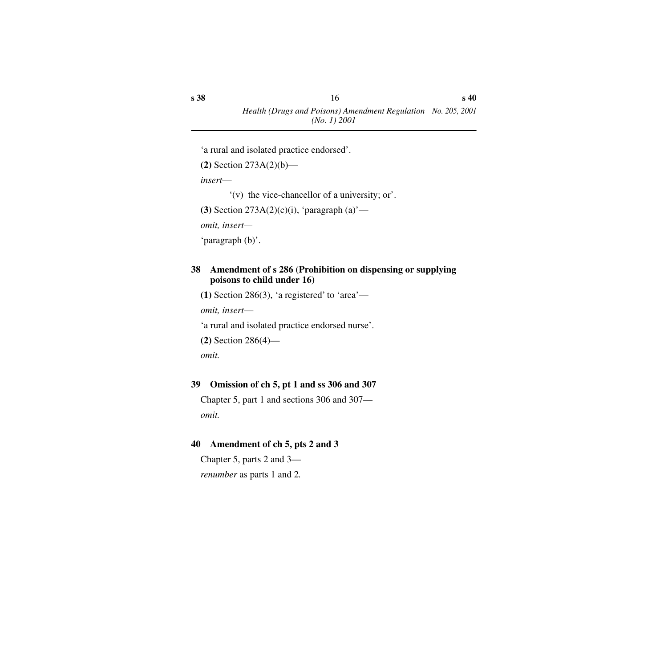'a rural and isolated practice endorsed'.

```
(2) Section 273A(2)(b)—
```
*insert*—

```
'(v) the vice-chancellor of a university; or'.
```
**(3)** Section 273A(2)(c)(i), 'paragraph (a)'—

*omit, insert—*

'paragraph (b)'.

#### <span id="page-15-0"></span>**38 Amendment of s 286 (Prohibition on dispensing or supplying poisons to child under 16)**

**(1)** Section 286(3), 'a registered' to 'area'—

*omit, insert*—

'a rural and isolated practice endorsed nurse'.

```
(2) Section 286(4)—
```
*omit.*

### <span id="page-15-1"></span>**39 Omission of ch 5, pt 1 and ss 306 and 307**

Chapter 5, part 1 and sections 306 and 307 *omit.*

### <span id="page-15-2"></span>**40 Amendment of ch 5, pts 2 and 3**

Chapter 5, parts 2 and 3 *renumber* as parts 1 and 2*.*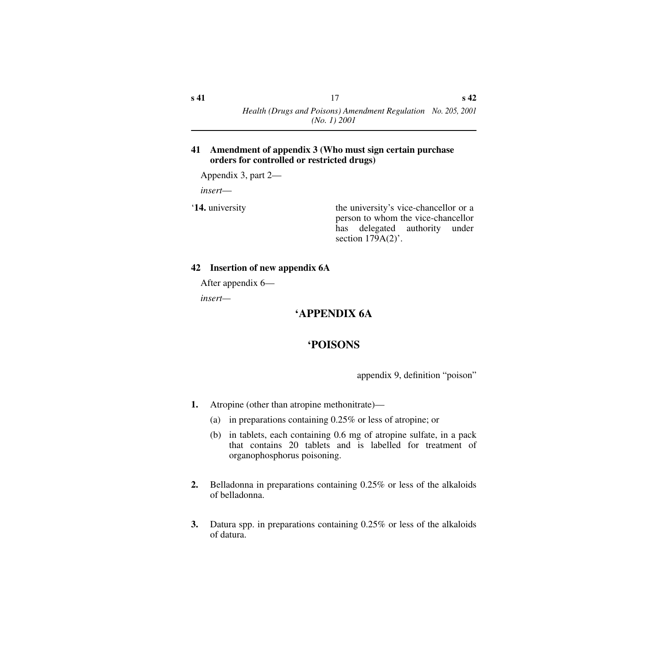#### <span id="page-16-0"></span>**41 Amendment of appendix 3 (Who must sign certain purchase orders for controlled or restricted drugs)**

Appendix 3, part 2—

*insert*—

**14.** university the university's vice-chancellor or a person to whom the vice-chancellor has delegated authority under section  $179A(2)$ .

### <span id="page-16-1"></span>**42 Insertion of new appendix 6A**

After appendix 6—

<span id="page-16-3"></span><span id="page-16-2"></span>*insert—*

# **'APPENDIX 6A**

# **'POISONS**

appendix 9, definition "poison"

- **1.** Atropine (other than atropine methonitrate)—
	- (a) in preparations containing 0.25% or less of atropine; or
	- (b) in tablets, each containing 0.6 mg of atropine sulfate, in a pack that contains 20 tablets and is labelled for treatment of organophosphorus poisoning.
- **2.** Belladonna in preparations containing 0.25% or less of the alkaloids of belladonna.
- **3.** Datura spp. in preparations containing 0.25% or less of the alkaloids of datura.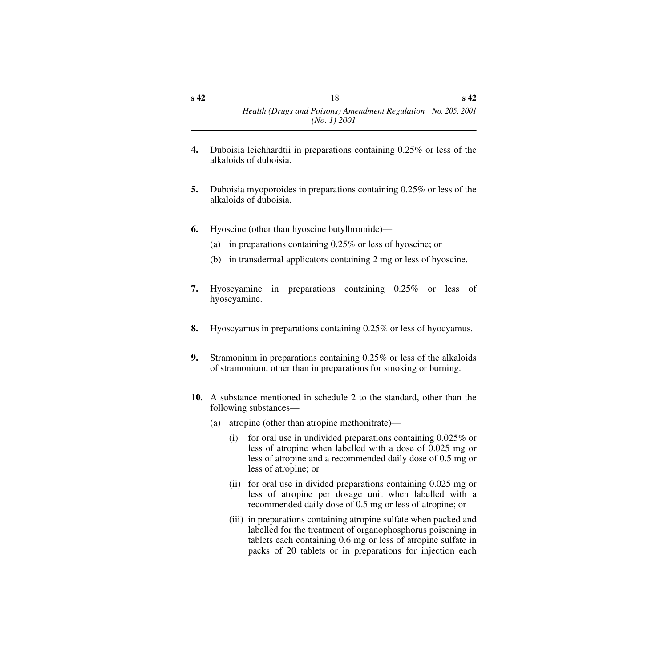- **4.** Duboisia leichhardtii in preparations containing 0.25% or less of the alkaloids of duboisia.
- **5.** Duboisia myoporoides in preparations containing 0.25% or less of the alkaloids of duboisia.
- **6.** Hyoscine (other than hyoscine butylbromide)—
	- (a) in preparations containing 0.25% or less of hyoscine; or
	- (b) in transdermal applicators containing 2 mg or less of hyoscine.
- **7.** Hyoscyamine in preparations containing 0.25% or less of hyoscyamine.
- **8.** Hyoscyamus in preparations containing 0.25% or less of hyocyamus.
- **9.** Stramonium in preparations containing 0.25% or less of the alkaloids of stramonium, other than in preparations for smoking or burning.
- **10.** A substance mentioned in schedule 2 to the standard, other than the following substances—
	- (a) atropine (other than atropine methonitrate)—
		- (i) for oral use in undivided preparations containing 0.025% or less of atropine when labelled with a dose of 0.025 mg or less of atropine and a recommended daily dose of 0.5 mg or less of atropine; or
		- (ii) for oral use in divided preparations containing 0.025 mg or less of atropine per dosage unit when labelled with a recommended daily dose of 0.5 mg or less of atropine; or
		- (iii) in preparations containing atropine sulfate when packed and labelled for the treatment of organophosphorus poisoning in tablets each containing 0.6 mg or less of atropine sulfate in packs of 20 tablets or in preparations for injection each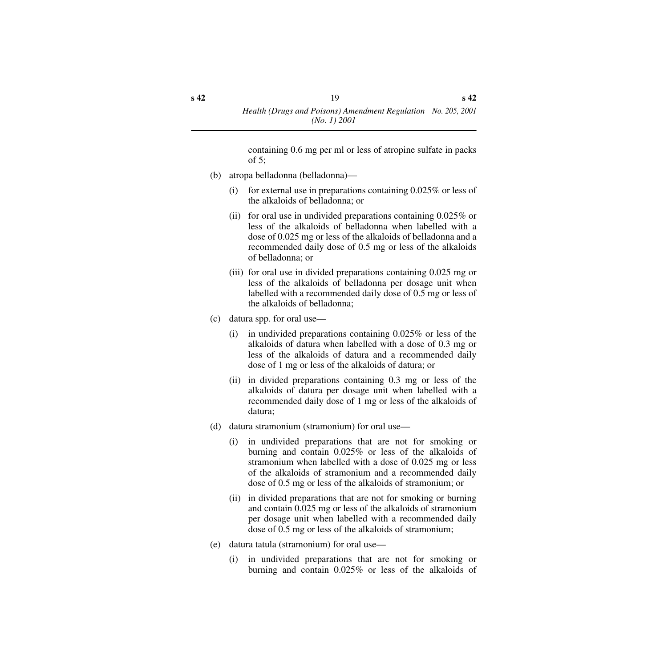containing 0.6 mg per ml or less of atropine sulfate in packs of 5;

- (b) atropa belladonna (belladonna)—
	- (i) for external use in preparations containing  $0.025\%$  or less of the alkaloids of belladonna; or
	- (ii) for oral use in undivided preparations containing 0.025% or less of the alkaloids of belladonna when labelled with a dose of 0.025 mg or less of the alkaloids of belladonna and a recommended daily dose of 0.5 mg or less of the alkaloids of belladonna; or
	- (iii) for oral use in divided preparations containing 0.025 mg or less of the alkaloids of belladonna per dosage unit when labelled with a recommended daily dose of 0.5 mg or less of the alkaloids of belladonna;
- (c) datura spp. for oral use—
	- (i) in undivided preparations containing 0.025% or less of the alkaloids of datura when labelled with a dose of 0.3 mg or less of the alkaloids of datura and a recommended daily dose of 1 mg or less of the alkaloids of datura; or
	- (ii) in divided preparations containing 0.3 mg or less of the alkaloids of datura per dosage unit when labelled with a recommended daily dose of 1 mg or less of the alkaloids of datura;
- (d) datura stramonium (stramonium) for oral use—
	- (i) in undivided preparations that are not for smoking or burning and contain 0.025% or less of the alkaloids of stramonium when labelled with a dose of 0.025 mg or less of the alkaloids of stramonium and a recommended daily dose of 0.5 mg or less of the alkaloids of stramonium; or
	- (ii) in divided preparations that are not for smoking or burning and contain 0.025 mg or less of the alkaloids of stramonium per dosage unit when labelled with a recommended daily dose of 0.5 mg or less of the alkaloids of stramonium;
- (e) datura tatula (stramonium) for oral use—
	- (i) in undivided preparations that are not for smoking or burning and contain 0.025% or less of the alkaloids of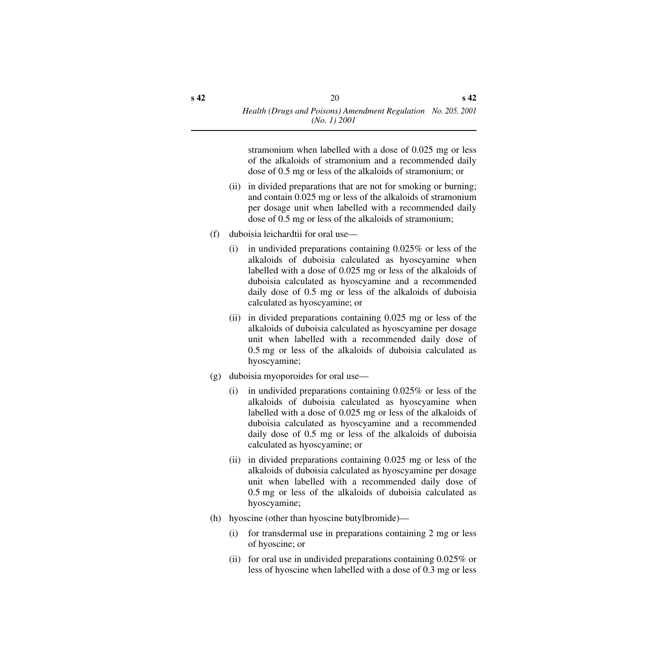stramonium when labelled with a dose of 0.025 mg or less of the alkaloids of stramonium and a recommended daily dose of 0.5 mg or less of the alkaloids of stramonium; or

- (ii) in divided preparations that are not for smoking or burning; and contain 0.025 mg or less of the alkaloids of stramonium per dosage unit when labelled with a recommended daily dose of 0.5 mg or less of the alkaloids of stramonium;
- (f) duboisia leichardtii for oral use—
	- (i) in undivided preparations containing 0.025% or less of the alkaloids of duboisia calculated as hyoscyamine when labelled with a dose of 0.025 mg or less of the alkaloids of duboisia calculated as hyoscyamine and a recommended daily dose of 0.5 mg or less of the alkaloids of duboisia calculated as hyoscyamine; or
	- (ii) in divided preparations containing 0.025 mg or less of the alkaloids of duboisia calculated as hyoscyamine per dosage unit when labelled with a recommended daily dose of 0.5 mg or less of the alkaloids of duboisia calculated as hyoscyamine;
- (g) duboisia myoporoides for oral use—
	- (i) in undivided preparations containing 0.025% or less of the alkaloids of duboisia calculated as hyoscyamine when labelled with a dose of 0.025 mg or less of the alkaloids of duboisia calculated as hyoscyamine and a recommended daily dose of 0.5 mg or less of the alkaloids of duboisia calculated as hyoscyamine; or
	- (ii) in divided preparations containing 0.025 mg or less of the alkaloids of duboisia calculated as hyoscyamine per dosage unit when labelled with a recommended daily dose of 0.5 mg or less of the alkaloids of duboisia calculated as hyoscyamine;
- (h) hyoscine (other than hyoscine butylbromide)—
	- (i) for transdermal use in preparations containing 2 mg or less of hyoscine; or
	- (ii) for oral use in undivided preparations containing 0.025% or less of hyoscine when labelled with a dose of 0.3 mg or less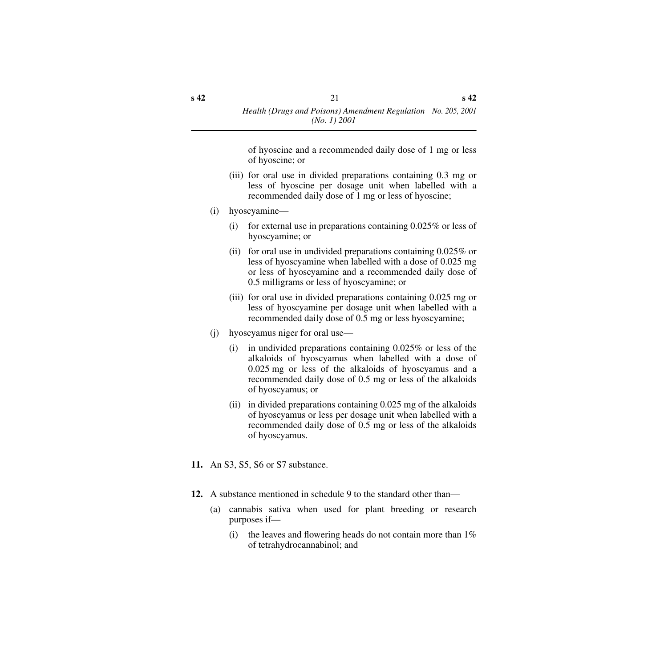of hyoscine and a recommended daily dose of 1 mg or less of hyoscine; or

- (iii) for oral use in divided preparations containing 0.3 mg or less of hyoscine per dosage unit when labelled with a recommended daily dose of 1 mg or less of hyoscine;
- (i) hyoscyamine—
	- (i) for external use in preparations containing 0.025% or less of hyoscyamine; or
	- (ii) for oral use in undivided preparations containing 0.025% or less of hyoscyamine when labelled with a dose of 0.025 mg or less of hyoscyamine and a recommended daily dose of 0.5 milligrams or less of hyoscyamine; or
	- (iii) for oral use in divided preparations containing 0.025 mg or less of hyoscyamine per dosage unit when labelled with a recommended daily dose of 0.5 mg or less hyoscyamine;
- (j) hyoscyamus niger for oral use—
	- (i) in undivided preparations containing 0.025% or less of the alkaloids of hyoscyamus when labelled with a dose of 0.025 mg or less of the alkaloids of hyoscyamus and a recommended daily dose of 0.5 mg or less of the alkaloids of hyoscyamus; or
	- (ii) in divided preparations containing 0.025 mg of the alkaloids of hyoscyamus or less per dosage unit when labelled with a recommended daily dose of 0.5 mg or less of the alkaloids of hyoscyamus.
- **11.** An S3, S5, S6 or S7 substance.
- **12.** A substance mentioned in schedule 9 to the standard other than—
	- (a) cannabis sativa when used for plant breeding or research purposes if—
		- (i) the leaves and flowering heads do not contain more than  $1\%$ of tetrahydrocannabinol; and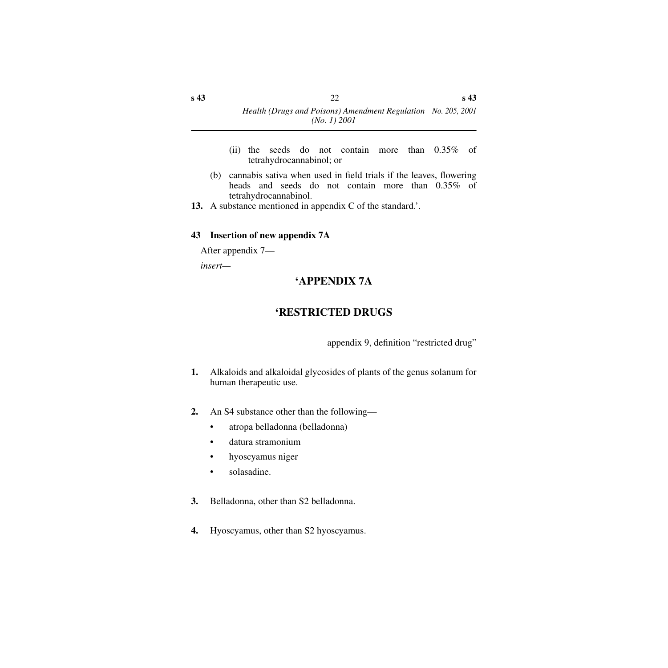- (ii) the seeds do not contain more than 0.35% of tetrahydrocannabinol; or
- (b) cannabis sativa when used in field trials if the leaves, flowering heads and seeds do not contain more than 0.35% of tetrahydrocannabinol.
- **13.** A substance mentioned in appendix C of the standard.'.

#### <span id="page-21-0"></span>**43 Insertion of new appendix 7A**

After appendix 7—

<span id="page-21-2"></span><span id="page-21-1"></span>*insert—*

### **'APPENDIX 7A**

## **'RESTRICTED DRUGS**

appendix 9, definition "restricted drug"

- **1.** Alkaloids and alkaloidal glycosides of plants of the genus solanum for human therapeutic use.
- **2.** An S4 substance other than the following—
	- atropa belladonna (belladonna)
	- datura stramonium
	- hyoscyamus niger
	- solasadine.
- **3.** Belladonna, other than S2 belladonna.
- **4.** Hyoscyamus, other than S2 hyoscyamus.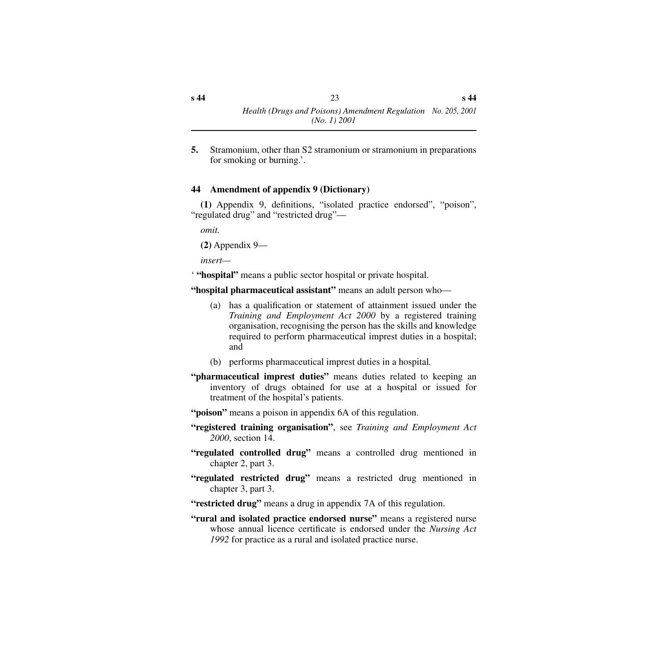**5.** Stramonium, other than S2 stramonium or stramonium in preparations for smoking or burning.'.

#### <span id="page-22-0"></span>**44 Amendment of appendix 9 (Dictionary)**

**(1)** Appendix 9, definitions, "isolated practice endorsed", "poison", "regulated drug" and "restricted drug"—

*omit.*

**(2)** Appendix 9—

*insert—*

' **"hospital"** means a public sector hospital or private hospital.

**"hospital pharmaceutical assistant"** means an adult person who—

- (a) has a qualification or statement of attainment issued under the *Training and Employment Act 2000* by a registered training organisation, recognising the person has the skills and knowledge required to perform pharmaceutical imprest duties in a hospital; and
- (b) performs pharmaceutical imprest duties in a hospital*.*
- **"pharmaceutical imprest duties"** means duties related to keeping an inventory of drugs obtained for use at a hospital or issued for treatment of the hospital's patients.
- **"poison"** means a poison in appendix 6A of this regulation.
- **"registered training organisation"**, see *Training and Employment Act 2000*, section 14.
- **"regulated controlled drug"** means a controlled drug mentioned in chapter 2, part 3.
- **"regulated restricted drug"** means a restricted drug mentioned in chapter 3, part 3.
- "**restricted drug**" means a drug in appendix 7A of this regulation.
- **"rural and isolated practice endorsed nurse"** means a registered nurse whose annual licence certificate is endorsed under the *Nursing Act 1992* for practice as a rural and isolated practice nurse.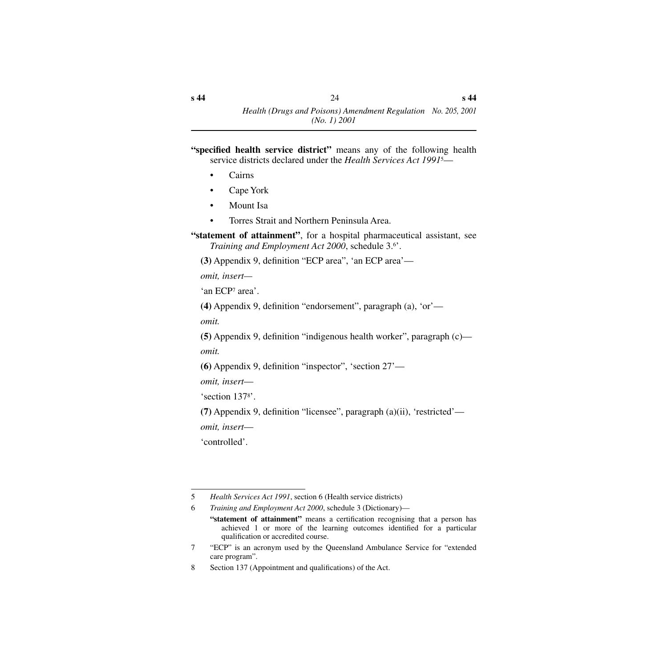- "specified health service district" means any of the following health service districts declared under the *Health Services Act 1991*5—
	- Cairns
	- Cape York
	- Mount Isa
	- Torres Strait and Northern Peninsula Area.

**"statement of attainment"**, for a hospital pharmaceutical assistant, see *Training and Employment Act 2000*, schedule 3.6'.

**(3)** Appendix 9, definition "ECP area", 'an ECP area'—

*omit, insert—*

'an ECP7 area'.

**(4)** Appendix 9, definition "endorsement", paragraph (a), 'or'—

*omit.*

**(5)** Appendix 9, definition "indigenous health worker", paragraph (c) *omit.*

**(6)** Appendix 9, definition "inspector", 'section 27'—

*omit, insert*—

'section 1378'.

**(7)** Appendix 9, definition "licensee", paragraph (a)(ii), 'restricted' *omit, insert*—

'controlled'.

<sup>5</sup> *Health Services Act 1991*, section 6 (Health service districts)

<sup>6</sup> *Training and Employment Act 2000*, schedule 3 (Dictionary)—

**<sup>&</sup>quot;statement of attainment"** means a certification recognising that a person has achieved 1 or more of the learning outcomes identified for a particular qualification or accredited course.

<sup>7 &</sup>quot;ECP" is an acronym used by the Queensland Ambulance Service for "extended care program".

<sup>8</sup> Section 137 (Appointment and qualifications) of the Act.